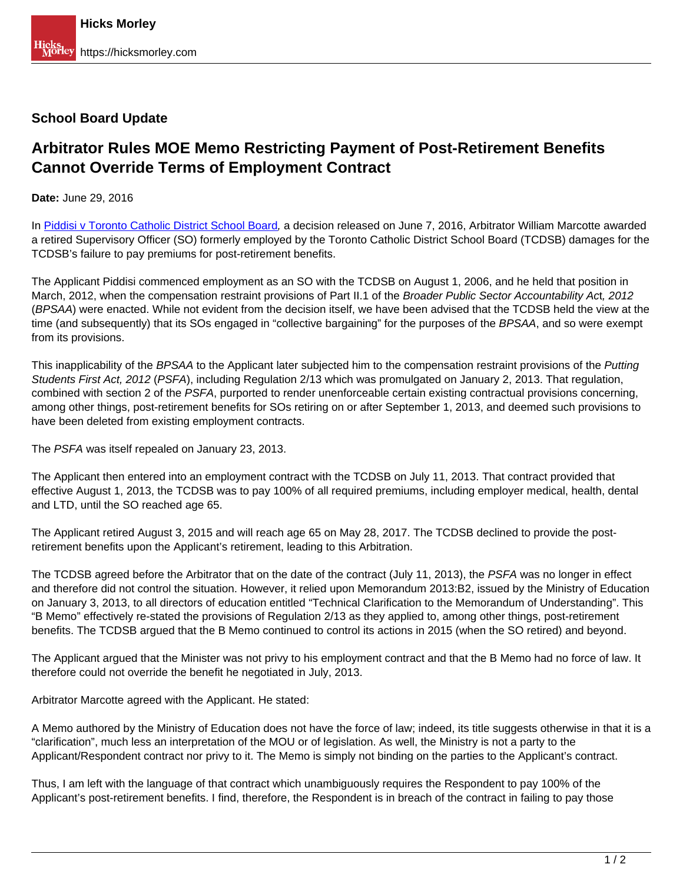## **School Board Update**

## **Arbitrator Rules MOE Memo Restricting Payment of Post-Retirement Benefits Cannot Override Terms of Employment Contract**

**Date:** June 29, 2016

In [Piddisi v Toronto Catholic District School Board](http://www.canlii.org/en/on/onla/doc/2016/2016canlii36287/2016canlii36287.html), a decision released on June 7, 2016, Arbitrator William Marcotte awarded a retired Supervisory Officer (SO) formerly employed by the Toronto Catholic District School Board (TCDSB) damages for the TCDSB's failure to pay premiums for post-retirement benefits.

The Applicant Piddisi commenced employment as an SO with the TCDSB on August 1, 2006, and he held that position in March, 2012, when the compensation restraint provisions of Part II.1 of the Broader Public Sector Accountability Act, 2012 (BPSAA) were enacted. While not evident from the decision itself, we have been advised that the TCDSB held the view at the time (and subsequently) that its SOs engaged in "collective bargaining" for the purposes of the BPSAA, and so were exempt from its provisions.

This inapplicability of the BPSAA to the Applicant later subjected him to the compensation restraint provisions of the Putting Students First Act, 2012 (PSFA), including Regulation 2/13 which was promulgated on January 2, 2013. That regulation, combined with section 2 of the PSFA, purported to render unenforceable certain existing contractual provisions concerning, among other things, post-retirement benefits for SOs retiring on or after September 1, 2013, and deemed such provisions to have been deleted from existing employment contracts.

The PSFA was itself repealed on January 23, 2013.

The Applicant then entered into an employment contract with the TCDSB on July 11, 2013. That contract provided that effective August 1, 2013, the TCDSB was to pay 100% of all required premiums, including employer medical, health, dental and LTD, until the SO reached age 65.

The Applicant retired August 3, 2015 and will reach age 65 on May 28, 2017. The TCDSB declined to provide the postretirement benefits upon the Applicant's retirement, leading to this Arbitration.

The TCDSB agreed before the Arbitrator that on the date of the contract (July 11, 2013), the PSFA was no longer in effect and therefore did not control the situation. However, it relied upon Memorandum 2013:B2, issued by the Ministry of Education on January 3, 2013, to all directors of education entitled "Technical Clarification to the Memorandum of Understanding". This "B Memo" effectively re-stated the provisions of Regulation 2/13 as they applied to, among other things, post-retirement benefits. The TCDSB argued that the B Memo continued to control its actions in 2015 (when the SO retired) and beyond.

The Applicant argued that the Minister was not privy to his employment contract and that the B Memo had no force of law. It therefore could not override the benefit he negotiated in July, 2013.

Arbitrator Marcotte agreed with the Applicant. He stated:

A Memo authored by the Ministry of Education does not have the force of law; indeed, its title suggests otherwise in that it is a "clarification", much less an interpretation of the MOU or of legislation. As well, the Ministry is not a party to the Applicant/Respondent contract nor privy to it. The Memo is simply not binding on the parties to the Applicant's contract.

Thus, I am left with the language of that contract which unambiguously requires the Respondent to pay 100% of the Applicant's post-retirement benefits. I find, therefore, the Respondent is in breach of the contract in failing to pay those